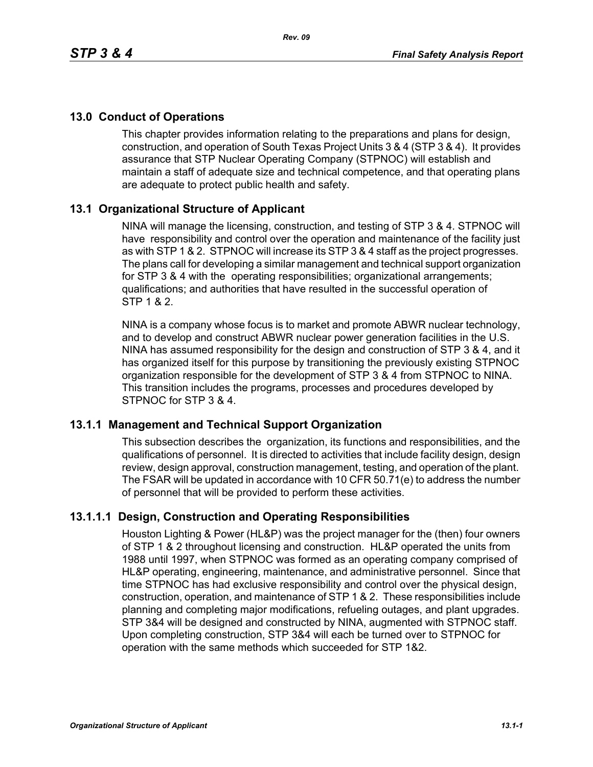# **13.0 Conduct of Operations**

This chapter provides information relating to the preparations and plans for design, construction, and operation of South Texas Project Units 3 & 4 (STP 3 & 4). It provides assurance that STP Nuclear Operating Company (STPNOC) will establish and maintain a staff of adequate size and technical competence, and that operating plans are adequate to protect public health and safety.

## **13.1 Organizational Structure of Applicant**

NINA will manage the licensing, construction, and testing of STP 3 & 4. STPNOC will have responsibility and control over the operation and maintenance of the facility just as with STP 1 & 2. STPNOC will increase its STP 3 & 4 staff as the project progresses. The plans call for developing a similar management and technical support organization for STP 3 & 4 with the operating responsibilities; organizational arrangements; qualifications; and authorities that have resulted in the successful operation of STP 1 & 2.

NINA is a company whose focus is to market and promote ABWR nuclear technology, and to develop and construct ABWR nuclear power generation facilities in the U.S. NINA has assumed responsibility for the design and construction of STP 3 & 4, and it has organized itself for this purpose by transitioning the previously existing STPNOC organization responsible for the development of STP 3 & 4 from STPNOC to NINA. This transition includes the programs, processes and procedures developed by STPNOC for STP 3 & 4.

## **13.1.1 Management and Technical Support Organization**

This subsection describes the organization, its functions and responsibilities, and the qualifications of personnel. It is directed to activities that include facility design, design review, design approval, construction management, testing, and operation of the plant. The FSAR will be updated in accordance with 10 CFR 50.71(e) to address the number of personnel that will be provided to perform these activities.

## **13.1.1.1 Design, Construction and Operating Responsibilities**

Houston Lighting & Power (HL&P) was the project manager for the (then) four owners of STP 1 & 2 throughout licensing and construction. HL&P operated the units from 1988 until 1997, when STPNOC was formed as an operating company comprised of HL&P operating, engineering, maintenance, and administrative personnel. Since that time STPNOC has had exclusive responsibility and control over the physical design, construction, operation, and maintenance of STP 1 & 2. These responsibilities include planning and completing major modifications, refueling outages, and plant upgrades. STP 3&4 will be designed and constructed by NINA, augmented with STPNOC staff. Upon completing construction, STP 3&4 will each be turned over to STPNOC for operation with the same methods which succeeded for STP 1&2.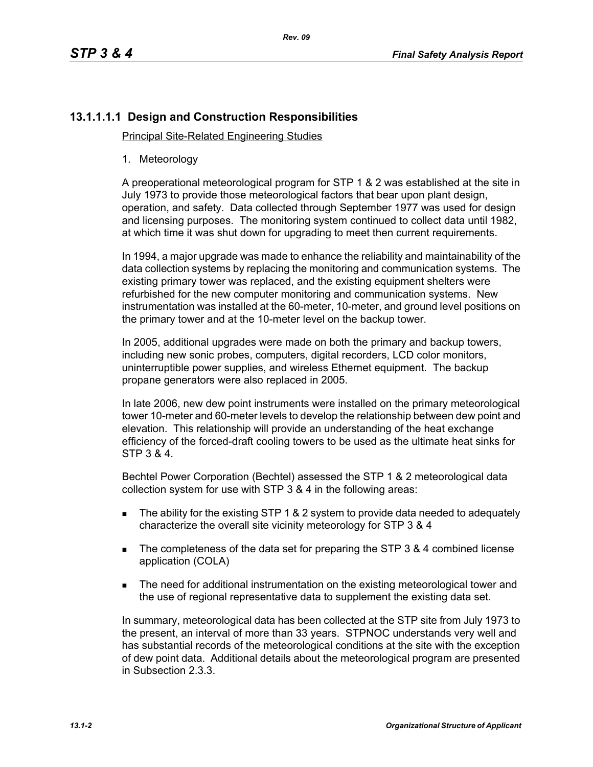# **13.1.1.1.1 Design and Construction Responsibilities**

Principal Site-Related Engineering Studies

1. Meteorology

A preoperational meteorological program for STP 1 & 2 was established at the site in July 1973 to provide those meteorological factors that bear upon plant design, operation, and safety. Data collected through September 1977 was used for design and licensing purposes. The monitoring system continued to collect data until 1982, at which time it was shut down for upgrading to meet then current requirements.

In 1994, a major upgrade was made to enhance the reliability and maintainability of the data collection systems by replacing the monitoring and communication systems. The existing primary tower was replaced, and the existing equipment shelters were refurbished for the new computer monitoring and communication systems. New instrumentation was installed at the 60-meter, 10-meter, and ground level positions on the primary tower and at the 10-meter level on the backup tower.

In 2005, additional upgrades were made on both the primary and backup towers, including new sonic probes, computers, digital recorders, LCD color monitors, uninterruptible power supplies, and wireless Ethernet equipment. The backup propane generators were also replaced in 2005.

In late 2006, new dew point instruments were installed on the primary meteorological tower 10-meter and 60-meter levels to develop the relationship between dew point and elevation. This relationship will provide an understanding of the heat exchange efficiency of the forced-draft cooling towers to be used as the ultimate heat sinks for STP 3 & 4.

Bechtel Power Corporation (Bechtel) assessed the STP 1 & 2 meteorological data collection system for use with STP 3 & 4 in the following areas:

- The ability for the existing STP 1 & 2 system to provide data needed to adequately characterize the overall site vicinity meteorology for STP 3 & 4
- The completeness of the data set for preparing the STP 3 & 4 combined license application (COLA)
- **The need for additional instrumentation on the existing meteorological tower and** the use of regional representative data to supplement the existing data set.

In summary, meteorological data has been collected at the STP site from July 1973 to the present, an interval of more than 33 years. STPNOC understands very well and has substantial records of the meteorological conditions at the site with the exception of dew point data. Additional details about the meteorological program are presented in Subsection 2.3.3.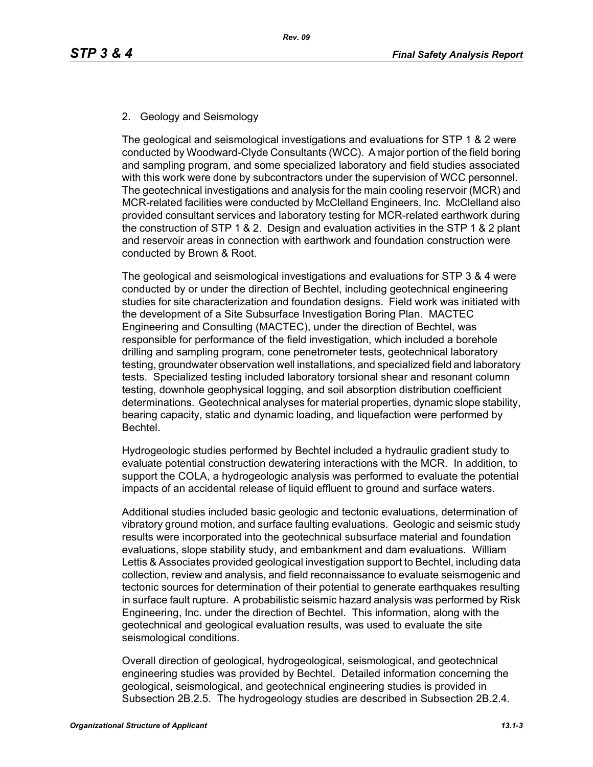## 2. Geology and Seismology

The geological and seismological investigations and evaluations for STP 1 & 2 were conducted by Woodward-Clyde Consultants (WCC). A major portion of the field boring and sampling program, and some specialized laboratory and field studies associated with this work were done by subcontractors under the supervision of WCC personnel. The geotechnical investigations and analysis for the main cooling reservoir (MCR) and MCR-related facilities were conducted by McClelland Engineers, Inc. McClelland also provided consultant services and laboratory testing for MCR-related earthwork during the construction of STP 1 & 2. Design and evaluation activities in the STP 1 & 2 plant and reservoir areas in connection with earthwork and foundation construction were conducted by Brown & Root.

The geological and seismological investigations and evaluations for STP 3 & 4 were conducted by or under the direction of Bechtel, including geotechnical engineering studies for site characterization and foundation designs. Field work was initiated with the development of a Site Subsurface Investigation Boring Plan. MACTEC Engineering and Consulting (MACTEC), under the direction of Bechtel, was responsible for performance of the field investigation, which included a borehole drilling and sampling program, cone penetrometer tests, geotechnical laboratory testing, groundwater observation well installations, and specialized field and laboratory tests. Specialized testing included laboratory torsional shear and resonant column testing, downhole geophysical logging, and soil absorption distribution coefficient determinations. Geotechnical analyses for material properties, dynamic slope stability, bearing capacity, static and dynamic loading, and liquefaction were performed by Bechtel.

Hydrogeologic studies performed by Bechtel included a hydraulic gradient study to evaluate potential construction dewatering interactions with the MCR. In addition, to support the COLA, a hydrogeologic analysis was performed to evaluate the potential impacts of an accidental release of liquid effluent to ground and surface waters.

Additional studies included basic geologic and tectonic evaluations, determination of vibratory ground motion, and surface faulting evaluations. Geologic and seismic study results were incorporated into the geotechnical subsurface material and foundation evaluations, slope stability study, and embankment and dam evaluations. William Lettis & Associates provided geological investigation support to Bechtel, including data collection, review and analysis, and field reconnaissance to evaluate seismogenic and tectonic sources for determination of their potential to generate earthquakes resulting in surface fault rupture. A probabilistic seismic hazard analysis was performed by Risk Engineering, Inc. under the direction of Bechtel. This information, along with the geotechnical and geological evaluation results, was used to evaluate the site seismological conditions.

Overall direction of geological, hydrogeological, seismological, and geotechnical engineering studies was provided by Bechtel. Detailed information concerning the geological, seismological, and geotechnical engineering studies is provided in Subsection 2B.2.5. The hydrogeology studies are described in Subsection 2B.2.4.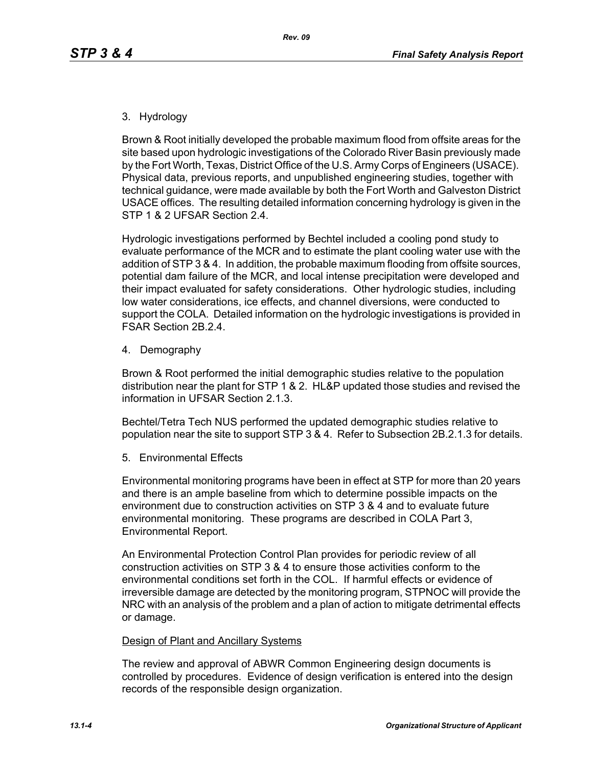### 3. Hydrology

Brown & Root initially developed the probable maximum flood from offsite areas for the site based upon hydrologic investigations of the Colorado River Basin previously made by the Fort Worth, Texas, District Office of the U.S. Army Corps of Engineers (USACE). Physical data, previous reports, and unpublished engineering studies, together with technical guidance, were made available by both the Fort Worth and Galveston District USACE offices. The resulting detailed information concerning hydrology is given in the STP 1 & 2 UFSAR Section 2.4.

Hydrologic investigations performed by Bechtel included a cooling pond study to evaluate performance of the MCR and to estimate the plant cooling water use with the addition of STP 3 & 4. In addition, the probable maximum flooding from offsite sources, potential dam failure of the MCR, and local intense precipitation were developed and their impact evaluated for safety considerations. Other hydrologic studies, including low water considerations, ice effects, and channel diversions, were conducted to support the COLA. Detailed information on the hydrologic investigations is provided in FSAR Section 2B.2.4.

4. Demography

Brown & Root performed the initial demographic studies relative to the population distribution near the plant for STP 1 & 2. HL&P updated those studies and revised the information in UFSAR Section 2.1.3.

Bechtel/Tetra Tech NUS performed the updated demographic studies relative to population near the site to support STP 3 & 4. Refer to Subsection 2B.2.1.3 for details.

5. Environmental Effects

Environmental monitoring programs have been in effect at STP for more than 20 years and there is an ample baseline from which to determine possible impacts on the environment due to construction activities on STP 3 & 4 and to evaluate future environmental monitoring. These programs are described in COLA Part 3, Environmental Report.

An Environmental Protection Control Plan provides for periodic review of all construction activities on STP 3 & 4 to ensure those activities conform to the environmental conditions set forth in the COL. If harmful effects or evidence of irreversible damage are detected by the monitoring program, STPNOC will provide the NRC with an analysis of the problem and a plan of action to mitigate detrimental effects or damage.

#### Design of Plant and Ancillary Systems

The review and approval of ABWR Common Engineering design documents is controlled by procedures. Evidence of design verification is entered into the design records of the responsible design organization.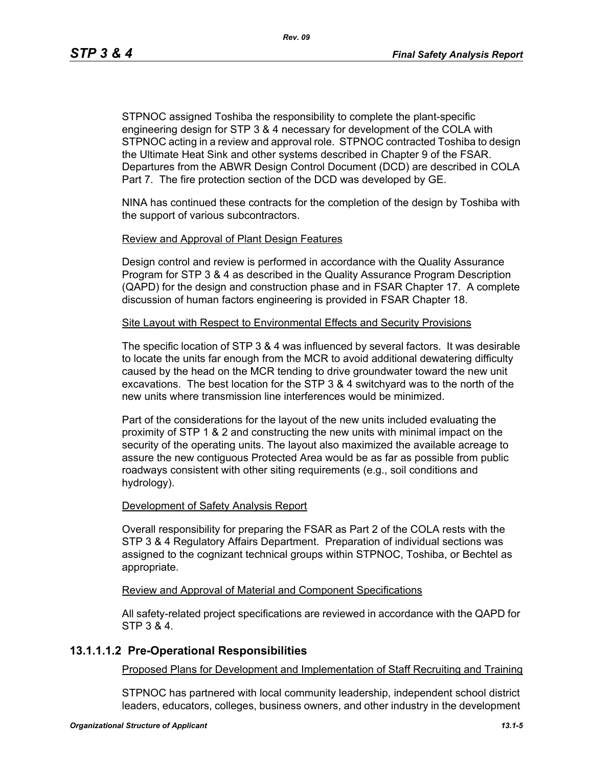STPNOC assigned Toshiba the responsibility to complete the plant-specific engineering design for STP 3 & 4 necessary for development of the COLA with STPNOC acting in a review and approval role. STPNOC contracted Toshiba to design the Ultimate Heat Sink and other systems described in Chapter 9 of the FSAR. Departures from the ABWR Design Control Document (DCD) are described in COLA Part 7. The fire protection section of the DCD was developed by GE.

NINA has continued these contracts for the completion of the design by Toshiba with the support of various subcontractors.

#### Review and Approval of Plant Design Features

Design control and review is performed in accordance with the Quality Assurance Program for STP 3 & 4 as described in the Quality Assurance Program Description (QAPD) for the design and construction phase and in FSAR Chapter 17. A complete discussion of human factors engineering is provided in FSAR Chapter 18.

#### Site Layout with Respect to Environmental Effects and Security Provisions

The specific location of STP 3 & 4 was influenced by several factors. It was desirable to locate the units far enough from the MCR to avoid additional dewatering difficulty caused by the head on the MCR tending to drive groundwater toward the new unit excavations. The best location for the STP 3 & 4 switchyard was to the north of the new units where transmission line interferences would be minimized.

Part of the considerations for the layout of the new units included evaluating the proximity of STP 1 & 2 and constructing the new units with minimal impact on the security of the operating units. The layout also maximized the available acreage to assure the new contiguous Protected Area would be as far as possible from public roadways consistent with other siting requirements (e.g., soil conditions and hydrology).

#### Development of Safety Analysis Report

Overall responsibility for preparing the FSAR as Part 2 of the COLA rests with the STP 3 & 4 Regulatory Affairs Department. Preparation of individual sections was assigned to the cognizant technical groups within STPNOC, Toshiba, or Bechtel as appropriate.

#### Review and Approval of Material and Component Specifications

All safety-related project specifications are reviewed in accordance with the QAPD for STP 3 & 4.

## **13.1.1.1.2 Pre-Operational Responsibilities**

Proposed Plans for Development and Implementation of Staff Recruiting and Training

STPNOC has partnered with local community leadership, independent school district leaders, educators, colleges, business owners, and other industry in the development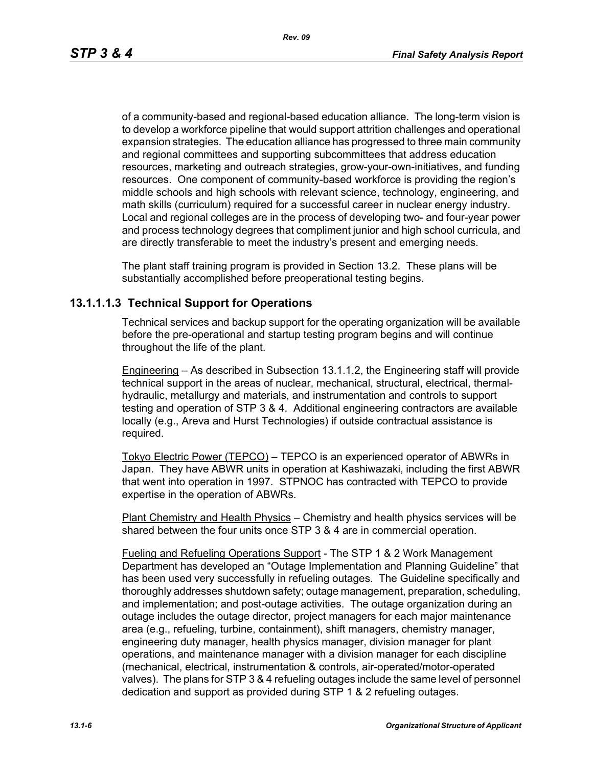of a community-based and regional-based education alliance. The long-term vision is to develop a workforce pipeline that would support attrition challenges and operational expansion strategies. The education alliance has progressed to three main community and regional committees and supporting subcommittees that address education resources, marketing and outreach strategies, grow-your-own-initiatives, and funding resources. One component of community-based workforce is providing the region's middle schools and high schools with relevant science, technology, engineering, and math skills (curriculum) required for a successful career in nuclear energy industry. Local and regional colleges are in the process of developing two- and four-year power and process technology degrees that compliment junior and high school curricula, and are directly transferable to meet the industry's present and emerging needs.

The plant staff training program is provided in Section 13.2. These plans will be substantially accomplished before preoperational testing begins.

## **13.1.1.1.3 Technical Support for Operations**

Technical services and backup support for the operating organization will be available before the pre-operational and startup testing program begins and will continue throughout the life of the plant.

Engineering – As described in Subsection 13.1.1.2, the Engineering staff will provide technical support in the areas of nuclear, mechanical, structural, electrical, thermalhydraulic, metallurgy and materials, and instrumentation and controls to support testing and operation of STP 3 & 4. Additional engineering contractors are available locally (e.g., Areva and Hurst Technologies) if outside contractual assistance is required.

Tokyo Electric Power (TEPCO) – TEPCO is an experienced operator of ABWRs in Japan. They have ABWR units in operation at Kashiwazaki, including the first ABWR that went into operation in 1997. STPNOC has contracted with TEPCO to provide expertise in the operation of ABWRs.

Plant Chemistry and Health Physics – Chemistry and health physics services will be shared between the four units once STP 3 & 4 are in commercial operation.

Fueling and Refueling Operations Support - The STP 1 & 2 Work Management Department has developed an "Outage Implementation and Planning Guideline" that has been used very successfully in refueling outages. The Guideline specifically and thoroughly addresses shutdown safety; outage management, preparation, scheduling, and implementation; and post-outage activities. The outage organization during an outage includes the outage director, project managers for each major maintenance area (e.g., refueling, turbine, containment), shift managers, chemistry manager, engineering duty manager, health physics manager, division manager for plant operations, and maintenance manager with a division manager for each discipline (mechanical, electrical, instrumentation & controls, air-operated/motor-operated valves). The plans for STP 3 & 4 refueling outages include the same level of personnel dedication and support as provided during STP 1 & 2 refueling outages.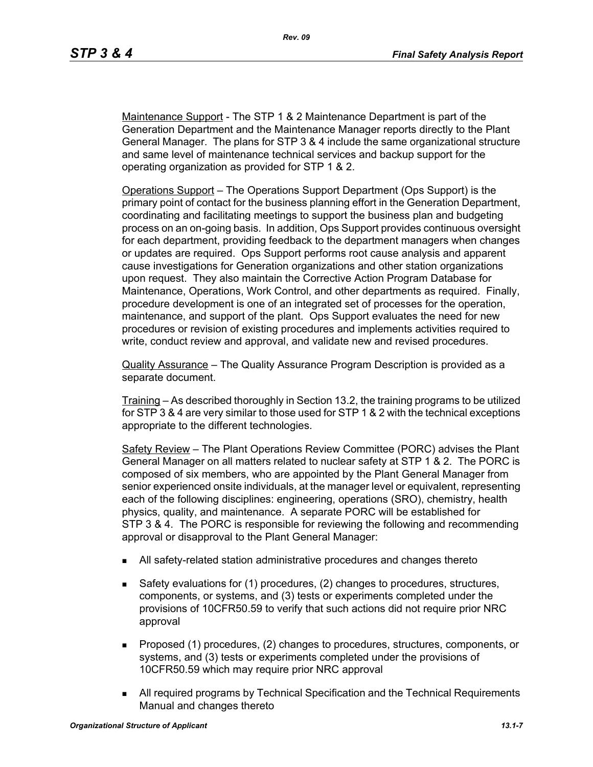Maintenance Support - The STP 1 & 2 Maintenance Department is part of the Generation Department and the Maintenance Manager reports directly to the Plant General Manager. The plans for STP 3 & 4 include the same organizational structure and same level of maintenance technical services and backup support for the operating organization as provided for STP 1 & 2.

Operations Support – The Operations Support Department (Ops Support) is the primary point of contact for the business planning effort in the Generation Department, coordinating and facilitating meetings to support the business plan and budgeting process on an on-going basis. In addition, Ops Support provides continuous oversight for each department, providing feedback to the department managers when changes or updates are required. Ops Support performs root cause analysis and apparent cause investigations for Generation organizations and other station organizations upon request. They also maintain the Corrective Action Program Database for Maintenance, Operations, Work Control, and other departments as required. Finally, procedure development is one of an integrated set of processes for the operation, maintenance, and support of the plant. Ops Support evaluates the need for new procedures or revision of existing procedures and implements activities required to write, conduct review and approval, and validate new and revised procedures.

Quality Assurance – The Quality Assurance Program Description is provided as a separate document.

Training – As described thoroughly in Section 13.2, the training programs to be utilized for STP 3 & 4 are very similar to those used for STP 1 & 2 with the technical exceptions appropriate to the different technologies.

Safety Review – The Plant Operations Review Committee (PORC) advises the Plant General Manager on all matters related to nuclear safety at STP 1 & 2. The PORC is composed of six members, who are appointed by the Plant General Manager from senior experienced onsite individuals, at the manager level or equivalent, representing each of the following disciplines: engineering, operations (SRO), chemistry, health physics, quality, and maintenance. A separate PORC will be established for STP 3 & 4. The PORC is responsible for reviewing the following and recommending approval or disapproval to the Plant General Manager:

- All safety-related station administrative procedures and changes thereto
- Safety evaluations for (1) procedures, (2) changes to procedures, structures, components, or systems, and (3) tests or experiments completed under the provisions of 10CFR50.59 to verify that such actions did not require prior NRC approval
- **Proposed (1) procedures, (2) changes to procedures, structures, components, or** systems, and (3) tests or experiments completed under the provisions of 10CFR50.59 which may require prior NRC approval
- All required programs by Technical Specification and the Technical Requirements Manual and changes thereto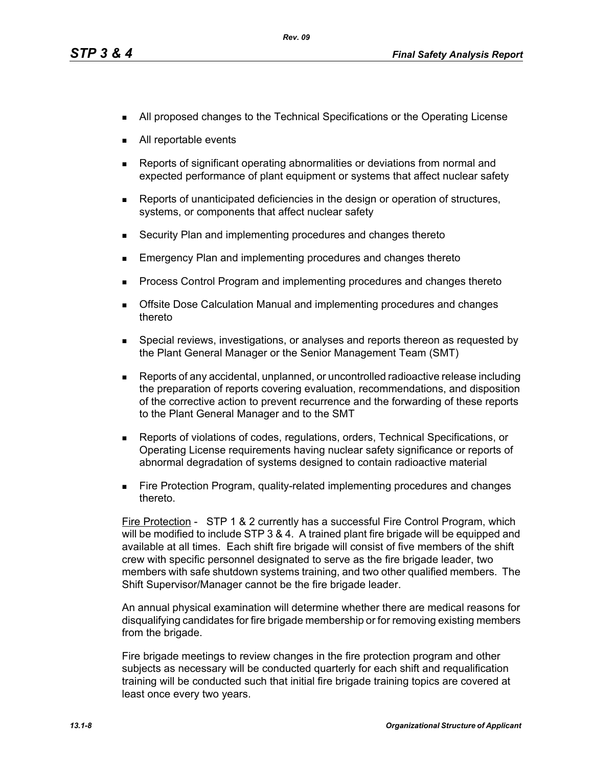- **All proposed changes to the Technical Specifications or the Operating License**
- All reportable events
- Reports of significant operating abnormalities or deviations from normal and expected performance of plant equipment or systems that affect nuclear safety
- **Reports of unanticipated deficiencies in the design or operation of structures,** systems, or components that affect nuclear safety
- Security Plan and implementing procedures and changes thereto
- Emergency Plan and implementing procedures and changes thereto
- **Process Control Program and implementing procedures and changes thereto**
- **Dealth Exercise Septemannes** Calculation Manual and implementing procedures and changes thereto
- **Special reviews, investigations, or analyses and reports thereon as requested by** the Plant General Manager or the Senior Management Team (SMT)
- Reports of any accidental, unplanned, or uncontrolled radioactive release including the preparation of reports covering evaluation, recommendations, and disposition of the corrective action to prevent recurrence and the forwarding of these reports to the Plant General Manager and to the SMT
- Reports of violations of codes, regulations, orders, Technical Specifications, or Operating License requirements having nuclear safety significance or reports of abnormal degradation of systems designed to contain radioactive material
- **Fire Protection Program, quality-related implementing procedures and changes** thereto.

Fire Protection - STP 1 & 2 currently has a successful Fire Control Program, which will be modified to include STP 3 & 4. A trained plant fire brigade will be equipped and available at all times. Each shift fire brigade will consist of five members of the shift crew with specific personnel designated to serve as the fire brigade leader, two members with safe shutdown systems training, and two other qualified members. The Shift Supervisor/Manager cannot be the fire brigade leader.

An annual physical examination will determine whether there are medical reasons for disqualifying candidates for fire brigade membership or for removing existing members from the brigade.

Fire brigade meetings to review changes in the fire protection program and other subjects as necessary will be conducted quarterly for each shift and requalification training will be conducted such that initial fire brigade training topics are covered at least once every two years.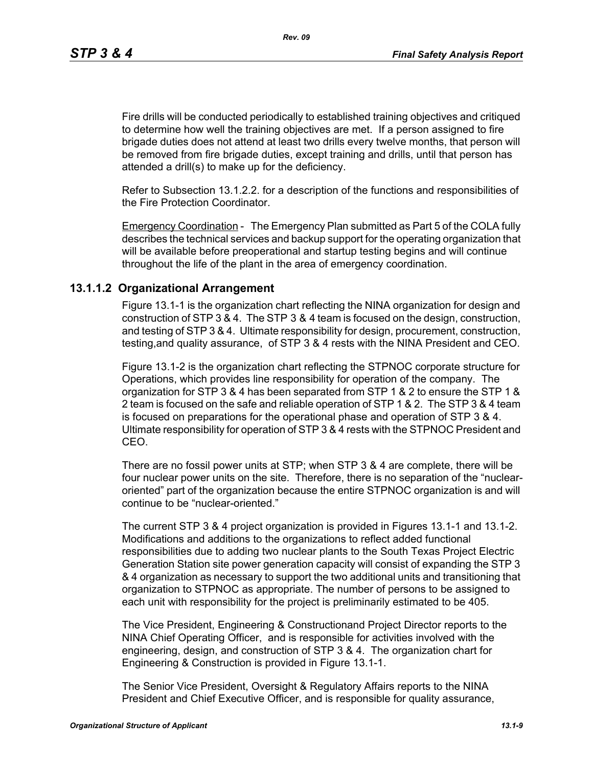*Rev. 09*

Fire drills will be conducted periodically to established training objectives and critiqued to determine how well the training objectives are met. If a person assigned to fire brigade duties does not attend at least two drills every twelve months, that person will be removed from fire brigade duties, except training and drills, until that person has attended a drill(s) to make up for the deficiency.

Refer to Subsection 13.1.2.2. for a description of the functions and responsibilities of the Fire Protection Coordinator.

Emergency Coordination - The Emergency Plan submitted as Part 5 of the COLA fully describes the technical services and backup support for the operating organization that will be available before preoperational and startup testing begins and will continue throughout the life of the plant in the area of emergency coordination.

### **13.1.1.2 Organizational Arrangement**

Figure 13.1-1 is the organization chart reflecting the NINA organization for design and construction of STP 3 & 4. The STP 3 & 4 team is focused on the design, construction, and testing of STP 3 & 4. Ultimate responsibility for design, procurement, construction, testing,and quality assurance, of STP 3 & 4 rests with the NINA President and CEO.

Figure 13.1-2 is the organization chart reflecting the STPNOC corporate structure for Operations, which provides line responsibility for operation of the company. The organization for STP 3 & 4 has been separated from STP 1 & 2 to ensure the STP 1 & 2 team is focused on the safe and reliable operation of STP 1 & 2. The STP 3 & 4 team is focused on preparations for the operational phase and operation of STP 3 & 4. Ultimate responsibility for operation of STP 3 & 4 rests with the STPNOC President and CEO.

There are no fossil power units at STP; when STP 3 & 4 are complete, there will be four nuclear power units on the site. Therefore, there is no separation of the "nuclearoriented" part of the organization because the entire STPNOC organization is and will continue to be "nuclear-oriented."

The current STP 3 & 4 project organization is provided in Figures 13.1-1 and 13.1-2. Modifications and additions to the organizations to reflect added functional responsibilities due to adding two nuclear plants to the South Texas Project Electric Generation Station site power generation capacity will consist of expanding the STP 3 & 4 organization as necessary to support the two additional units and transitioning that organization to STPNOC as appropriate. The number of persons to be assigned to each unit with responsibility for the project is preliminarily estimated to be 405.

The Vice President, Engineering & Constructionand Project Director reports to the NINA Chief Operating Officer, and is responsible for activities involved with the engineering, design, and construction of STP 3 & 4. The organization chart for Engineering & Construction is provided in Figure 13.1-1.

The Senior Vice President, Oversight & Regulatory Affairs reports to the NINA President and Chief Executive Officer, and is responsible for quality assurance,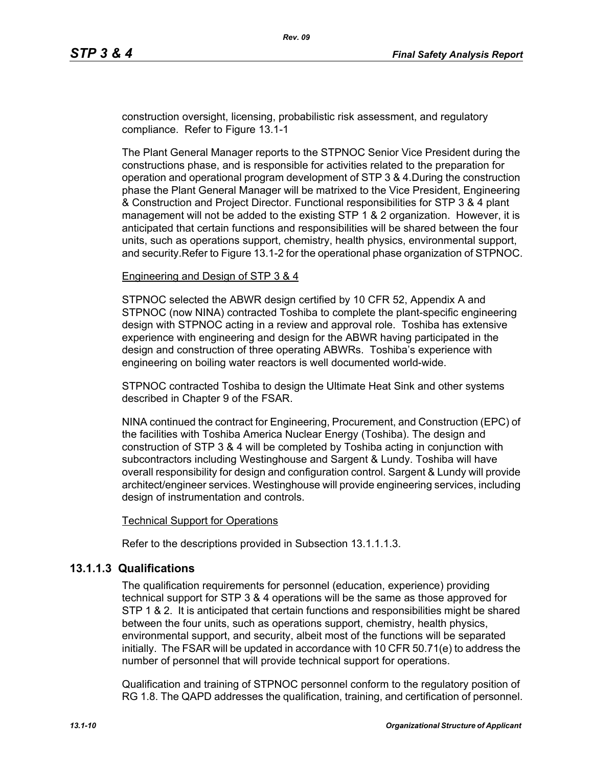construction oversight, licensing, probabilistic risk assessment, and regulatory compliance. Refer to Figure 13.1-1

The Plant General Manager reports to the STPNOC Senior Vice President during the constructions phase, and is responsible for activities related to the preparation for operation and operational program development of STP 3 & 4.During the construction phase the Plant General Manager will be matrixed to the Vice President, Engineering & Construction and Project Director. Functional responsibilities for STP 3 & 4 plant management will not be added to the existing STP 1 & 2 organization. However, it is anticipated that certain functions and responsibilities will be shared between the four units, such as operations support, chemistry, health physics, environmental support, and security.Refer to Figure 13.1-2 for the operational phase organization of STPNOC.

#### Engineering and Design of STP 3 & 4

STPNOC selected the ABWR design certified by 10 CFR 52, Appendix A and STPNOC (now NINA) contracted Toshiba to complete the plant-specific engineering design with STPNOC acting in a review and approval role. Toshiba has extensive experience with engineering and design for the ABWR having participated in the design and construction of three operating ABWRs. Toshiba's experience with engineering on boiling water reactors is well documented world-wide.

STPNOC contracted Toshiba to design the Ultimate Heat Sink and other systems described in Chapter 9 of the FSAR.

NINA continued the contract for Engineering, Procurement, and Construction (EPC) of the facilities with Toshiba America Nuclear Energy (Toshiba). The design and construction of STP 3 & 4 will be completed by Toshiba acting in conjunction with subcontractors including Westinghouse and Sargent & Lundy. Toshiba will have overall responsibility for design and configuration control. Sargent & Lundy will provide architect/engineer services. Westinghouse will provide engineering services, including design of instrumentation and controls.

#### Technical Support for Operations

Refer to the descriptions provided in Subsection 13.1.1.1.3.

### **13.1.1.3 Qualifications**

The qualification requirements for personnel (education, experience) providing technical support for STP 3 & 4 operations will be the same as those approved for STP 1 & 2. It is anticipated that certain functions and responsibilities might be shared between the four units, such as operations support, chemistry, health physics, environmental support, and security, albeit most of the functions will be separated initially. The FSAR will be updated in accordance with 10 CFR 50.71(e) to address the number of personnel that will provide technical support for operations.

Qualification and training of STPNOC personnel conform to the regulatory position of RG 1.8. The QAPD addresses the qualification, training, and certification of personnel.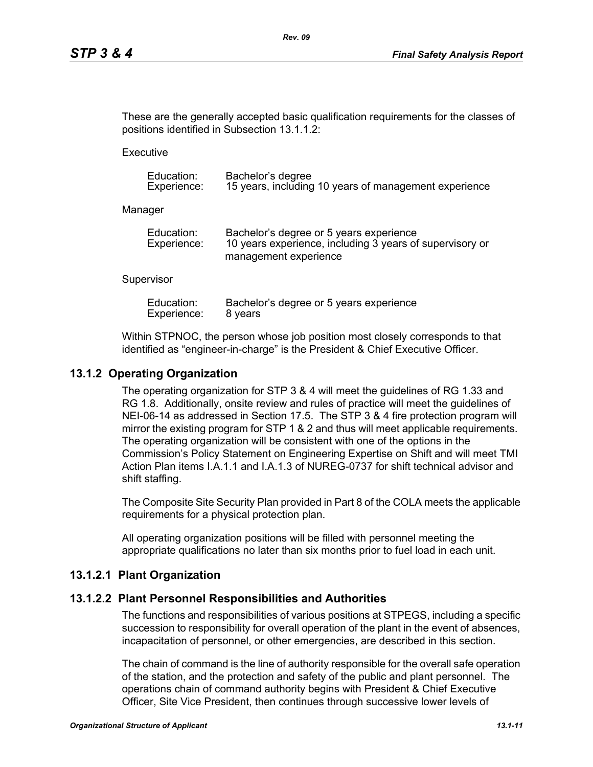These are the generally accepted basic qualification requirements for the classes of positions identified in Subsection 13.1.1.2:

**Executive** 

| Education:  | Bachelor's degree                                     |
|-------------|-------------------------------------------------------|
| Experience: | 15 years, including 10 years of management experience |

Manager

| Education:  | Bachelor's degree or 5 years experience                  |
|-------------|----------------------------------------------------------|
| Experience: | 10 years experience, including 3 years of supervisory or |
|             | management experience                                    |

#### **Supervisor**

| Education:  | Bachelor's degree or 5 years experience |
|-------------|-----------------------------------------|
| Experience: | 8 years                                 |

Within STPNOC, the person whose job position most closely corresponds to that identified as "engineer-in-charge" is the President & Chief Executive Officer.

### **13.1.2 Operating Organization**

The operating organization for STP 3 & 4 will meet the guidelines of RG 1.33 and RG 1.8. Additionally, onsite review and rules of practice will meet the guidelines of NEI-06-14 as addressed in Section 17.5. The STP 3 & 4 fire protection program will mirror the existing program for STP 1 & 2 and thus will meet applicable requirements. The operating organization will be consistent with one of the options in the Commission's Policy Statement on Engineering Expertise on Shift and will meet TMI Action Plan items I.A.1.1 and I.A.1.3 of NUREG-0737 for shift technical advisor and shift staffing.

The Composite Site Security Plan provided in Part 8 of the COLA meets the applicable requirements for a physical protection plan.

All operating organization positions will be filled with personnel meeting the appropriate qualifications no later than six months prior to fuel load in each unit.

### **13.1.2.1 Plant Organization**

### **13.1.2.2 Plant Personnel Responsibilities and Authorities**

The functions and responsibilities of various positions at STPEGS, including a specific succession to responsibility for overall operation of the plant in the event of absences, incapacitation of personnel, or other emergencies, are described in this section.

The chain of command is the line of authority responsible for the overall safe operation of the station, and the protection and safety of the public and plant personnel. The operations chain of command authority begins with President & Chief Executive Officer, Site Vice President, then continues through successive lower levels of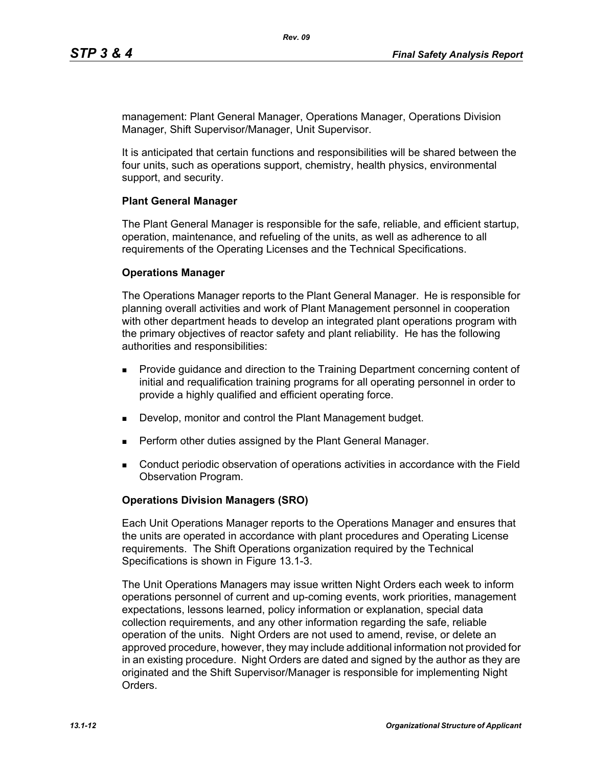management: Plant General Manager, Operations Manager, Operations Division Manager, Shift Supervisor/Manager, Unit Supervisor.

It is anticipated that certain functions and responsibilities will be shared between the four units, such as operations support, chemistry, health physics, environmental support, and security.

#### **Plant General Manager**

The Plant General Manager is responsible for the safe, reliable, and efficient startup, operation, maintenance, and refueling of the units, as well as adherence to all requirements of the Operating Licenses and the Technical Specifications.

#### **Operations Manager**

The Operations Manager reports to the Plant General Manager. He is responsible for planning overall activities and work of Plant Management personnel in cooperation with other department heads to develop an integrated plant operations program with the primary objectives of reactor safety and plant reliability. He has the following authorities and responsibilities:

- **Provide guidance and direction to the Training Department concerning content of** initial and requalification training programs for all operating personnel in order to provide a highly qualified and efficient operating force.
- Develop, monitor and control the Plant Management budget.
- **Perform other duties assigned by the Plant General Manager.**
- Conduct periodic observation of operations activities in accordance with the Field Observation Program.

### **Operations Division Managers (SRO)**

Each Unit Operations Manager reports to the Operations Manager and ensures that the units are operated in accordance with plant procedures and Operating License requirements. The Shift Operations organization required by the Technical Specifications is shown in Figure 13.1-3.

The Unit Operations Managers may issue written Night Orders each week to inform operations personnel of current and up-coming events, work priorities, management expectations, lessons learned, policy information or explanation, special data collection requirements, and any other information regarding the safe, reliable operation of the units. Night Orders are not used to amend, revise, or delete an approved procedure, however, they may include additional information not provided for in an existing procedure. Night Orders are dated and signed by the author as they are originated and the Shift Supervisor/Manager is responsible for implementing Night **Orders**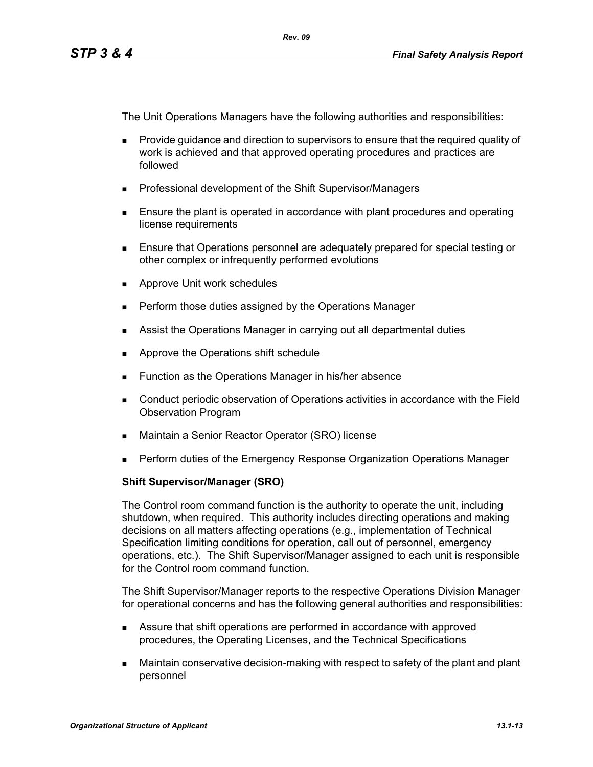The Unit Operations Managers have the following authorities and responsibilities:

- **Provide quidance and direction to supervisors to ensure that the required quality of** work is achieved and that approved operating procedures and practices are followed
- **Professional development of the Shift Supervisor/Managers**
- **Ensure the plant is operated in accordance with plant procedures and operating** license requirements
- Ensure that Operations personnel are adequately prepared for special testing or other complex or infrequently performed evolutions
- **Approve Unit work schedules**
- **Perform those duties assigned by the Operations Manager**
- **Assist the Operations Manager in carrying out all departmental duties**
- **Approve the Operations shift schedule**
- **Function as the Operations Manager in his/her absence**
- Conduct periodic observation of Operations activities in accordance with the Field Observation Program
- Maintain a Senior Reactor Operator (SRO) license
- **Perform duties of the Emergency Response Organization Operations Manager**

### **Shift Supervisor/Manager (SRO)**

The Control room command function is the authority to operate the unit, including shutdown, when required. This authority includes directing operations and making decisions on all matters affecting operations (e.g., implementation of Technical Specification limiting conditions for operation, call out of personnel, emergency operations, etc.). The Shift Supervisor/Manager assigned to each unit is responsible for the Control room command function.

The Shift Supervisor/Manager reports to the respective Operations Division Manager for operational concerns and has the following general authorities and responsibilities:

- Assure that shift operations are performed in accordance with approved procedures, the Operating Licenses, and the Technical Specifications
- Maintain conservative decision-making with respect to safety of the plant and plant personnel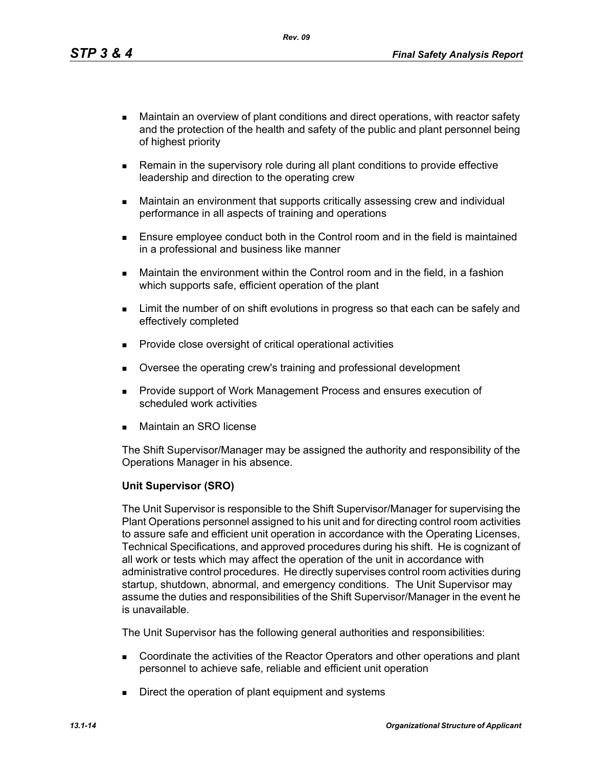*Rev. 09*

- Maintain an overview of plant conditions and direct operations, with reactor safety and the protection of the health and safety of the public and plant personnel being of highest priority
- **Remain in the supervisory role during all plant conditions to provide effective** leadership and direction to the operating crew
- Maintain an environment that supports critically assessing crew and individual performance in all aspects of training and operations
- **Ensure employee conduct both in the Control room and in the field is maintained** in a professional and business like manner
- Maintain the environment within the Control room and in the field, in a fashion which supports safe, efficient operation of the plant
- **EXECT** Limit the number of on shift evolutions in progress so that each can be safely and effectively completed
- **Provide close oversight of critical operational activities**
- Oversee the operating crew's training and professional development
- **Provide support of Work Management Process and ensures execution of** scheduled work activities
- Maintain an SRO license

The Shift Supervisor/Manager may be assigned the authority and responsibility of the Operations Manager in his absence.

### **Unit Supervisor (SRO)**

The Unit Supervisor is responsible to the Shift Supervisor/Manager for supervising the Plant Operations personnel assigned to his unit and for directing control room activities to assure safe and efficient unit operation in accordance with the Operating Licenses, Technical Specifications, and approved procedures during his shift. He is cognizant of all work or tests which may affect the operation of the unit in accordance with administrative control procedures. He directly supervises control room activities during startup, shutdown, abnormal, and emergency conditions. The Unit Supervisor may assume the duties and responsibilities of the Shift Supervisor/Manager in the event he is unavailable.

The Unit Supervisor has the following general authorities and responsibilities:

- Coordinate the activities of the Reactor Operators and other operations and plant personnel to achieve safe, reliable and efficient unit operation
- Direct the operation of plant equipment and systems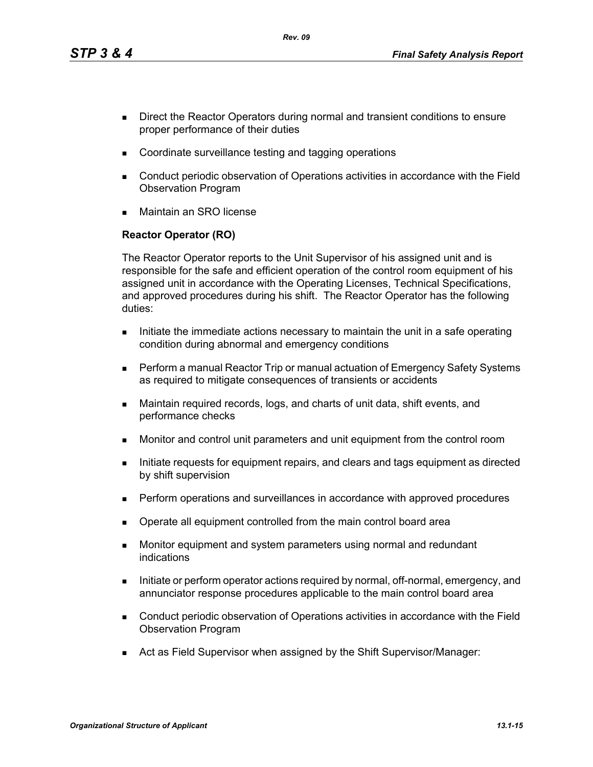*Rev. 09*

- Direct the Reactor Operators during normal and transient conditions to ensure proper performance of their duties
- Coordinate surveillance testing and tagging operations
- Conduct periodic observation of Operations activities in accordance with the Field Observation Program
- Maintain an SRO license

## **Reactor Operator (RO)**

The Reactor Operator reports to the Unit Supervisor of his assigned unit and is responsible for the safe and efficient operation of the control room equipment of his assigned unit in accordance with the Operating Licenses, Technical Specifications, and approved procedures during his shift. The Reactor Operator has the following duties:

- Initiate the immediate actions necessary to maintain the unit in a safe operating condition during abnormal and emergency conditions
- **Perform a manual Reactor Trip or manual actuation of Emergency Safety Systems** as required to mitigate consequences of transients or accidents
- Maintain required records, logs, and charts of unit data, shift events, and performance checks
- Monitor and control unit parameters and unit equipment from the control room
- Initiate requests for equipment repairs, and clears and tags equipment as directed by shift supervision
- **Perform operations and surveillances in accordance with approved procedures**
- Operate all equipment controlled from the main control board area
- **Monitor equipment and system parameters using normal and redundant** indications
- Initiate or perform operator actions required by normal, off-normal, emergency, and annunciator response procedures applicable to the main control board area
- Conduct periodic observation of Operations activities in accordance with the Field Observation Program
- Act as Field Supervisor when assigned by the Shift Supervisor/Manager: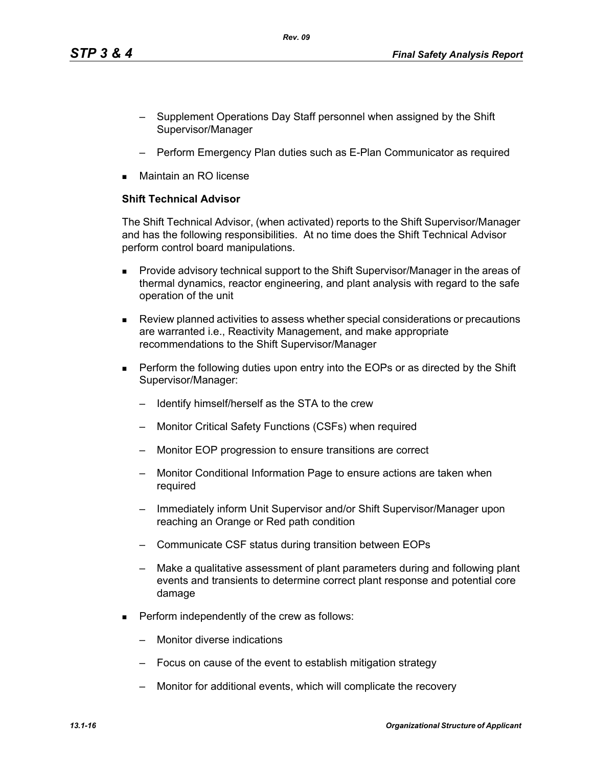- Supplement Operations Day Staff personnel when assigned by the Shift Supervisor/Manager
- Perform Emergency Plan duties such as E-Plan Communicator as required
- Maintain an RO license

### **Shift Technical Advisor**

The Shift Technical Advisor, (when activated) reports to the Shift Supervisor/Manager and has the following responsibilities. At no time does the Shift Technical Advisor perform control board manipulations.

- **Provide advisory technical support to the Shift Supervisor/Manager in the areas of** thermal dynamics, reactor engineering, and plant analysis with regard to the safe operation of the unit
- Review planned activities to assess whether special considerations or precautions are warranted i.e., Reactivity Management, and make appropriate recommendations to the Shift Supervisor/Manager
- **Perform the following duties upon entry into the EOPs or as directed by the Shift** Supervisor/Manager:
	- Identify himself/herself as the STA to the crew
	- Monitor Critical Safety Functions (CSFs) when required
	- Monitor EOP progression to ensure transitions are correct
	- Monitor Conditional Information Page to ensure actions are taken when required
	- Immediately inform Unit Supervisor and/or Shift Supervisor/Manager upon reaching an Orange or Red path condition
	- Communicate CSF status during transition between EOPs
	- Make a qualitative assessment of plant parameters during and following plant events and transients to determine correct plant response and potential core damage
- **Perform independently of the crew as follows:** 
	- Monitor diverse indications
	- Focus on cause of the event to establish mitigation strategy
	- Monitor for additional events, which will complicate the recovery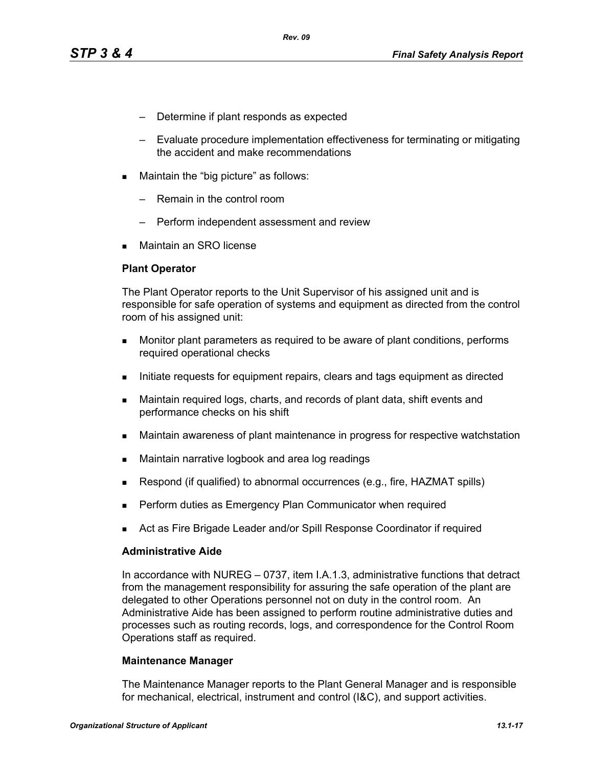- Determine if plant responds as expected
- Evaluate procedure implementation effectiveness for terminating or mitigating the accident and make recommendations
- **Maintain the "big picture" as follows:** 
	- Remain in the control room
	- Perform independent assessment and review
- Maintain an SRO license

#### **Plant Operator**

The Plant Operator reports to the Unit Supervisor of his assigned unit and is responsible for safe operation of systems and equipment as directed from the control room of his assigned unit:

- **Monitor plant parameters as required to be aware of plant conditions, performs** required operational checks
- Initiate requests for equipment repairs, clears and tags equipment as directed
- Maintain required logs, charts, and records of plant data, shift events and performance checks on his shift
- Maintain awareness of plant maintenance in progress for respective watchstation
- **Maintain narrative logbook and area log readings**
- Respond (if qualified) to abnormal occurrences (e.g., fire, HAZMAT spills)
- Perform duties as Emergency Plan Communicator when required
- Act as Fire Brigade Leader and/or Spill Response Coordinator if required

#### **Administrative Aide**

In accordance with NUREG – 0737, item I.A.1.3, administrative functions that detract from the management responsibility for assuring the safe operation of the plant are delegated to other Operations personnel not on duty in the control room. An Administrative Aide has been assigned to perform routine administrative duties and processes such as routing records, logs, and correspondence for the Control Room Operations staff as required.

#### **Maintenance Manager**

The Maintenance Manager reports to the Plant General Manager and is responsible for mechanical, electrical, instrument and control (I&C), and support activities.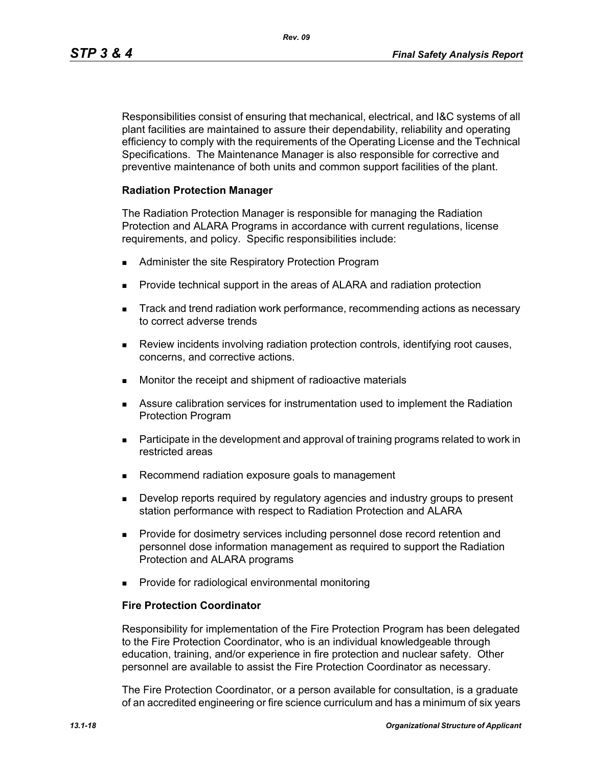Responsibilities consist of ensuring that mechanical, electrical, and I&C systems of all plant facilities are maintained to assure their dependability, reliability and operating efficiency to comply with the requirements of the Operating License and the Technical Specifications. The Maintenance Manager is also responsible for corrective and preventive maintenance of both units and common support facilities of the plant.

#### **Radiation Protection Manager**

The Radiation Protection Manager is responsible for managing the Radiation Protection and ALARA Programs in accordance with current regulations, license requirements, and policy. Specific responsibilities include:

- **Administer the site Respiratory Protection Program**
- **Provide technical support in the areas of ALARA and radiation protection**
- **Track and trend radiation work performance, recommending actions as necessary** to correct adverse trends
- Review incidents involving radiation protection controls, identifying root causes, concerns, and corrective actions.
- **Monitor the receipt and shipment of radioactive materials**
- Assure calibration services for instrumentation used to implement the Radiation Protection Program
- **Participate in the development and approval of training programs related to work in** restricted areas
- Recommend radiation exposure goals to management
- **Develop reports required by regulatory agencies and industry groups to present** station performance with respect to Radiation Protection and ALARA
- **Provide for dosimetry services including personnel dose record retention and** personnel dose information management as required to support the Radiation Protection and ALARA programs
- **Provide for radiological environmental monitoring**

#### **Fire Protection Coordinator**

Responsibility for implementation of the Fire Protection Program has been delegated to the Fire Protection Coordinator, who is an individual knowledgeable through education, training, and/or experience in fire protection and nuclear safety. Other personnel are available to assist the Fire Protection Coordinator as necessary.

The Fire Protection Coordinator, or a person available for consultation, is a graduate of an accredited engineering or fire science curriculum and has a minimum of six years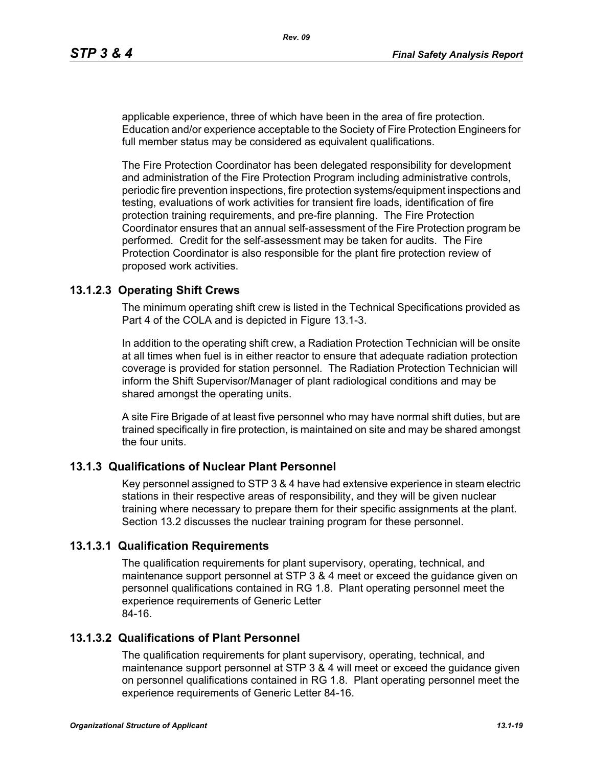applicable experience, three of which have been in the area of fire protection. Education and/or experience acceptable to the Society of Fire Protection Engineers for full member status may be considered as equivalent qualifications.

The Fire Protection Coordinator has been delegated responsibility for development and administration of the Fire Protection Program including administrative controls, periodic fire prevention inspections, fire protection systems/equipment inspections and testing, evaluations of work activities for transient fire loads, identification of fire protection training requirements, and pre-fire planning. The Fire Protection Coordinator ensures that an annual self-assessment of the Fire Protection program be performed. Credit for the self-assessment may be taken for audits. The Fire Protection Coordinator is also responsible for the plant fire protection review of proposed work activities.

## **13.1.2.3 Operating Shift Crews**

The minimum operating shift crew is listed in the Technical Specifications provided as Part 4 of the COLA and is depicted in Figure 13.1-3.

In addition to the operating shift crew, a Radiation Protection Technician will be onsite at all times when fuel is in either reactor to ensure that adequate radiation protection coverage is provided for station personnel. The Radiation Protection Technician will inform the Shift Supervisor/Manager of plant radiological conditions and may be shared amongst the operating units.

A site Fire Brigade of at least five personnel who may have normal shift duties, but are trained specifically in fire protection, is maintained on site and may be shared amongst the four units.

### **13.1.3 Qualifications of Nuclear Plant Personnel**

Key personnel assigned to STP 3 & 4 have had extensive experience in steam electric stations in their respective areas of responsibility, and they will be given nuclear training where necessary to prepare them for their specific assignments at the plant. Section 13.2 discusses the nuclear training program for these personnel.

### **13.1.3.1 Qualification Requirements**

The qualification requirements for plant supervisory, operating, technical, and maintenance support personnel at STP 3 & 4 meet or exceed the guidance given on personnel qualifications contained in RG 1.8. Plant operating personnel meet the experience requirements of Generic Letter 84-16.

### **13.1.3.2 Qualifications of Plant Personnel**

The qualification requirements for plant supervisory, operating, technical, and maintenance support personnel at STP 3 & 4 will meet or exceed the guidance given on personnel qualifications contained in RG 1.8. Plant operating personnel meet the experience requirements of Generic Letter 84-16.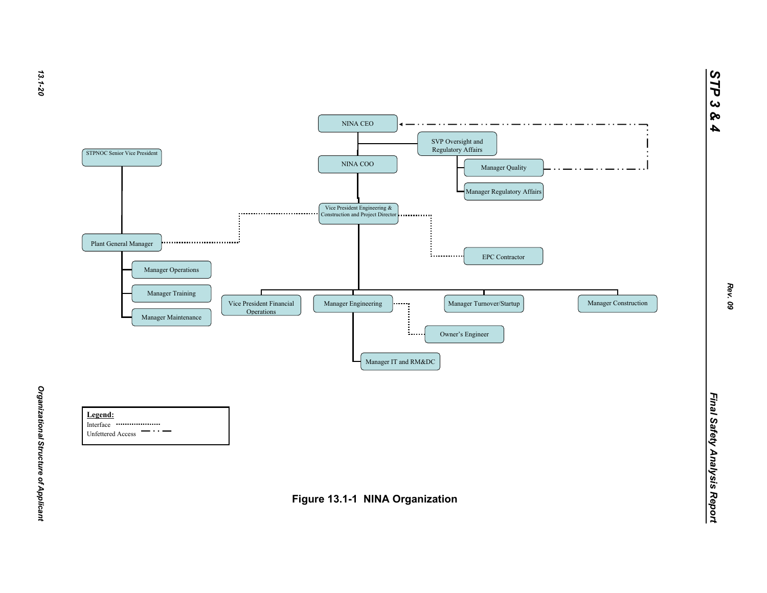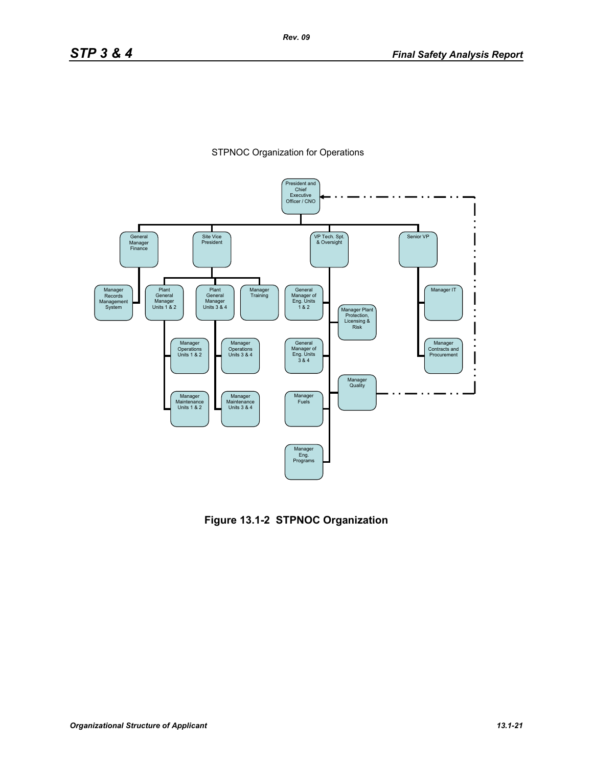



**Figure 13.1-2 STPNOC Organization**